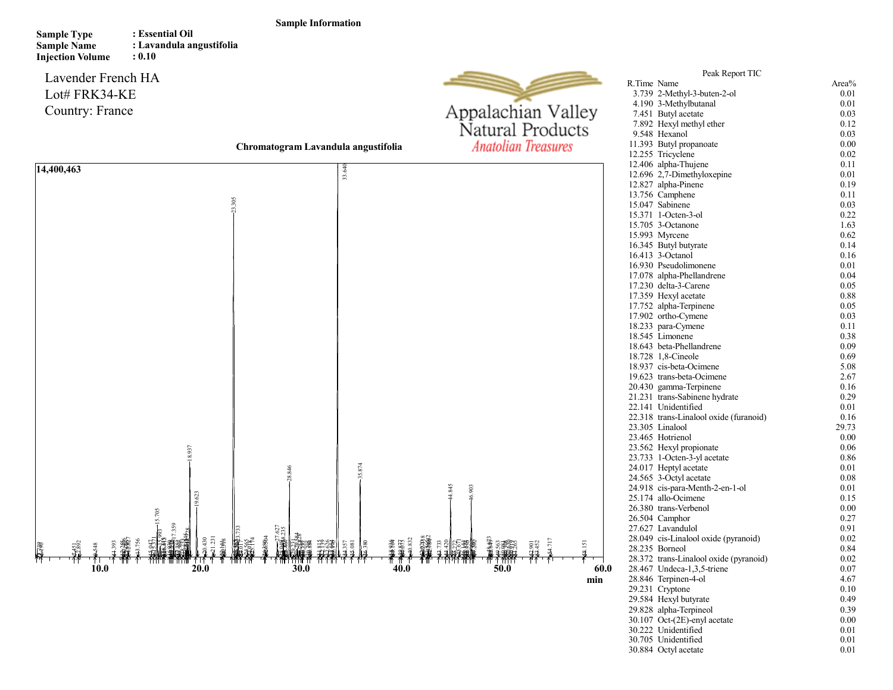## Sample Information

Sample Type Sample Name Injection Volume : Essential Oil : Lavandula angustifolia : 0.10

Lavender French HA Lot# FRK34-KE Country: France



Peak Report TIC R.Time Name <br>3.739 2-Methyl-3-buten-2-ol 0.01

4.190 3-Methylbutanal 0.01<br>
7.451 Butvl acetate 0.03 7.451 Butyl acetate 0.03<br>
7.892 Hexyl methyl ether 0.12 7.892 Hexyl methyl ether 0.12<br>9.548 Hexanol 0.03

3.739 2-Methyl-3-buten-2-ol

Chromatogram Lavandula angustifolia